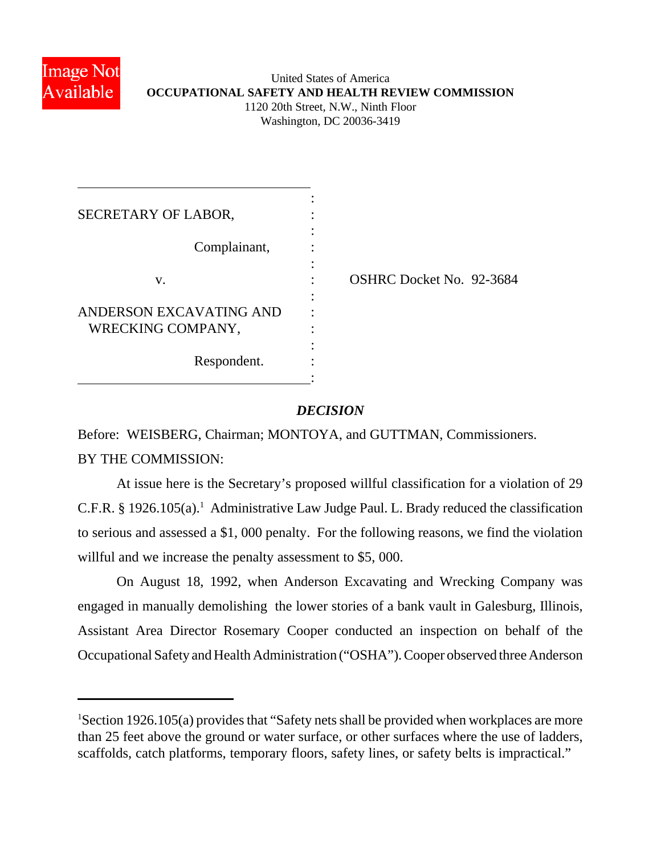

## United States of America **OCCUPATIONAL SAFETY AND HEALTH REVIEW COMMISSION** 1120 20th Street, N.W., Ninth Floor Washington, DC 20036-3419

| SECRETARY OF LABOR,                          |                                 |
|----------------------------------------------|---------------------------------|
| Complainant,                                 |                                 |
| V.                                           | <b>OSHRC Docket No. 92-3684</b> |
| ANDERSON EXCAVATING AND<br>WRECKING COMPANY, |                                 |
| Respondent.                                  |                                 |

## *DECISION*

Before: WEISBERG, Chairman; MONTOYA, and GUTTMAN, Commissioners.

BY THE COMMISSION:

At issue here is the Secretary's proposed willful classification for a violation of 29 C.F.R. § 1926.105(a).<sup>1</sup> Administrative Law Judge Paul. L. Brady reduced the classification to serious and assessed a \$1, 000 penalty. For the following reasons, we find the violation willful and we increase the penalty assessment to \$5,000.

On August 18, 1992, when Anderson Excavating and Wrecking Company was engaged in manually demolishing the lower stories of a bank vault in Galesburg, Illinois, Assistant Area Director Rosemary Cooper conducted an inspection on behalf of the Occupational Safety and Health Administration ("OSHA"). Cooper observed three Anderson

<sup>&</sup>lt;sup>1</sup>Section 1926.105(a) provides that "Safety nets shall be provided when workplaces are more than 25 feet above the ground or water surface, or other surfaces where the use of ladders, scaffolds, catch platforms, temporary floors, safety lines, or safety belts is impractical."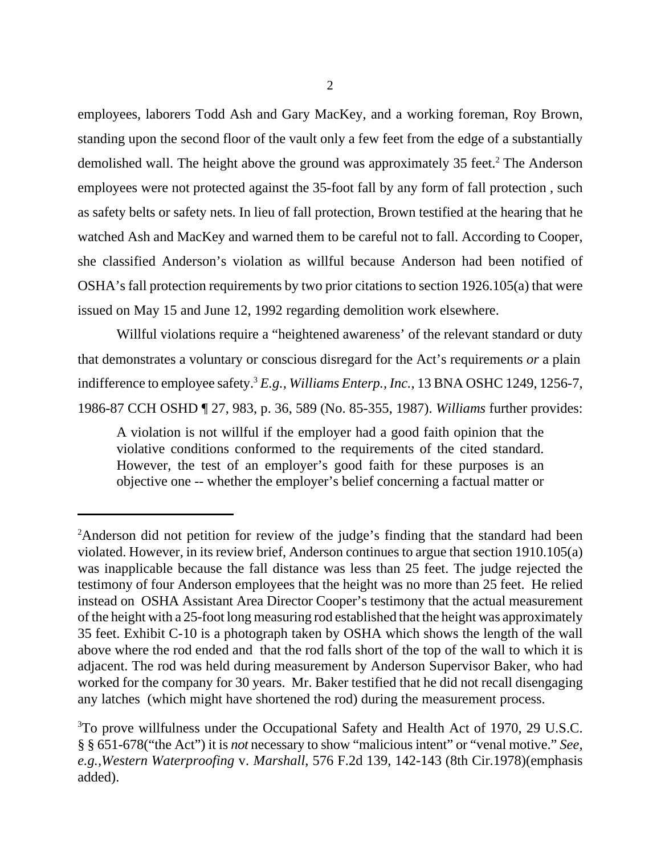employees, laborers Todd Ash and Gary MacKey, and a working foreman, Roy Brown, standing upon the second floor of the vault only a few feet from the edge of a substantially demolished wall. The height above the ground was approximately 35 feet.<sup>2</sup> The Anderson employees were not protected against the 35-foot fall by any form of fall protection , such as safety belts or safety nets. In lieu of fall protection, Brown testified at the hearing that he watched Ash and MacKey and warned them to be careful not to fall. According to Cooper, she classified Anderson's violation as willful because Anderson had been notified of OSHA's fall protection requirements by two prior citations to section 1926.105(a) that were issued on May 15 and June 12, 1992 regarding demolition work elsewhere.

Willful violations require a "heightened awareness' of the relevant standard or duty that demonstrates a voluntary or conscious disregard for the Act's requirements *or* a plain indifference to employee safety.<sup>3</sup> *E.g., Williams Enterp., Inc.,* 13 BNA OSHC 1249, 1256-7, 1986-87 CCH OSHD ¶ 27, 983, p. 36, 589 (No. 85-355, 1987). *Williams* further provides:

A violation is not willful if the employer had a good faith opinion that the violative conditions conformed to the requirements of the cited standard. However, the test of an employer's good faith for these purposes is an objective one -- whether the employer's belief concerning a factual matter or

<sup>&</sup>lt;sup>2</sup>Anderson did not petition for review of the judge's finding that the standard had been violated. However, in its review brief, Anderson continues to argue that section 1910.105(a) was inapplicable because the fall distance was less than 25 feet. The judge rejected the testimony of four Anderson employees that the height was no more than 25 feet. He relied instead on OSHA Assistant Area Director Cooper's testimony that the actual measurement of the height with a 25-foot long measuring rod established that the height was approximately 35 feet. Exhibit C-10 is a photograph taken by OSHA which shows the length of the wall above where the rod ended and that the rod falls short of the top of the wall to which it is adjacent. The rod was held during measurement by Anderson Supervisor Baker, who had worked for the company for 30 years. Mr. Baker testified that he did not recall disengaging any latches (which might have shortened the rod) during the measurement process.

<sup>&</sup>lt;sup>3</sup>To prove willfulness under the Occupational Safety and Health Act of 1970, 29 U.S.C. § § 651-678("the Act") it is *not* necessary to show "malicious intent" or "venal motive." *See, e.g.,Western Waterproofing* v. *Marshall*, 576 F.2d 139, 142-143 (8th Cir.1978)(emphasis added).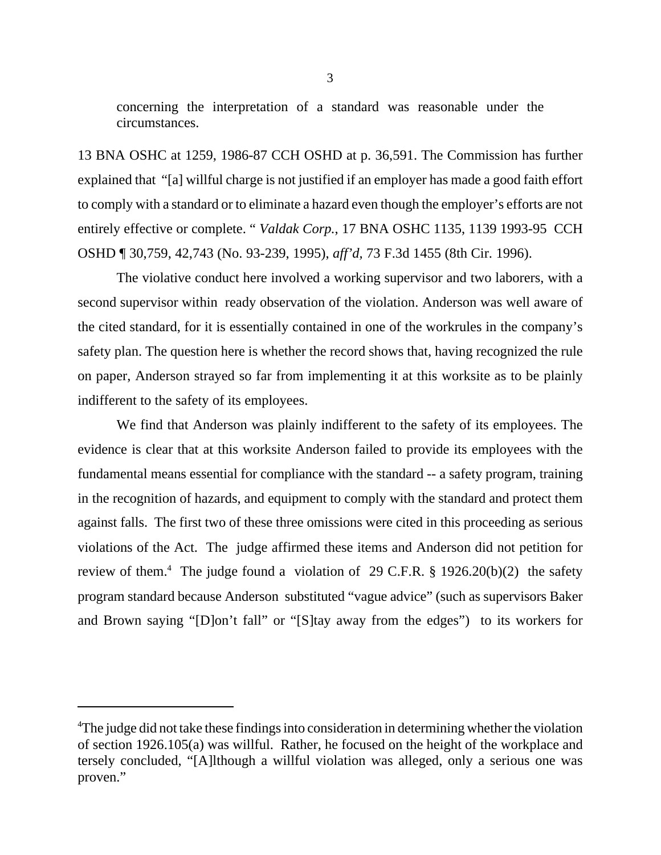concerning the interpretation of a standard was reasonable under the circumstances.

13 BNA OSHC at 1259, 1986-87 CCH OSHD at p. 36,591. The Commission has further explained that "[a] willful charge is not justified if an employer has made a good faith effort to comply with a standard or to eliminate a hazard even though the employer's efforts are not entirely effective or complete. " *Valdak Corp.*, 17 BNA OSHC 1135, 1139 1993-95 CCH OSHD ¶ 30,759, 42,743 (No. 93-239, 1995), *aff'd,* 73 F.3d 1455 (8th Cir. 1996).

The violative conduct here involved a working supervisor and two laborers, with a second supervisor within ready observation of the violation. Anderson was well aware of the cited standard, for it is essentially contained in one of the workrules in the company's safety plan. The question here is whether the record shows that, having recognized the rule on paper, Anderson strayed so far from implementing it at this worksite as to be plainly indifferent to the safety of its employees.

We find that Anderson was plainly indifferent to the safety of its employees. The evidence is clear that at this worksite Anderson failed to provide its employees with the fundamental means essential for compliance with the standard -- a safety program, training in the recognition of hazards, and equipment to comply with the standard and protect them against falls. The first two of these three omissions were cited in this proceeding as serious violations of the Act. The judge affirmed these items and Anderson did not petition for review of them.<sup>4</sup> The judge found a violation of 29 C.F.R.  $\S$  1926.20(b)(2) the safety program standard because Anderson substituted "vague advice" (such as supervisors Baker and Brown saying "[D]on't fall" or "[S]tay away from the edges") to its workers for

<sup>&</sup>lt;sup>4</sup>The judge did not take these findings into consideration in determining whether the violation of section 1926.105(a) was willful. Rather, he focused on the height of the workplace and tersely concluded, "[A]lthough a willful violation was alleged, only a serious one was proven."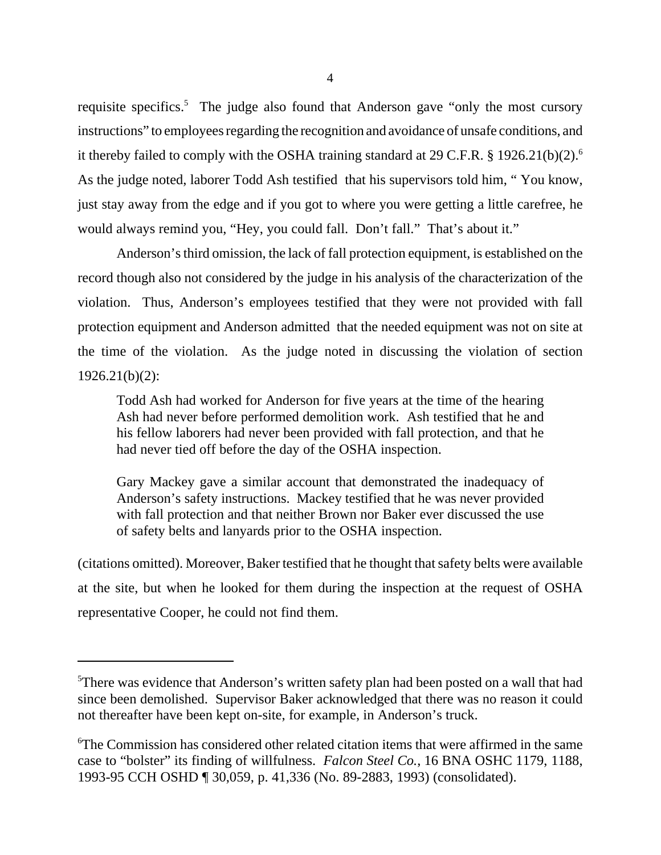requisite specifics.<sup>5</sup> The judge also found that Anderson gave "only the most cursory instructions" to employees regarding the recognition and avoidance of unsafe conditions, and it thereby failed to comply with the OSHA training standard at 29 C.F.R.  $\S$  1926.21(b)(2).<sup>6</sup> As the judge noted, laborer Todd Ash testified that his supervisors told him, " You know, just stay away from the edge and if you got to where you were getting a little carefree, he would always remind you, "Hey, you could fall. Don't fall." That's about it."

Anderson's third omission, the lack of fall protection equipment, is established on the record though also not considered by the judge in his analysis of the characterization of the violation. Thus, Anderson's employees testified that they were not provided with fall protection equipment and Anderson admitted that the needed equipment was not on site at the time of the violation. As the judge noted in discussing the violation of section 1926.21(b)(2):

Todd Ash had worked for Anderson for five years at the time of the hearing Ash had never before performed demolition work. Ash testified that he and his fellow laborers had never been provided with fall protection, and that he had never tied off before the day of the OSHA inspection.

Gary Mackey gave a similar account that demonstrated the inadequacy of Anderson's safety instructions. Mackey testified that he was never provided with fall protection and that neither Brown nor Baker ever discussed the use of safety belts and lanyards prior to the OSHA inspection.

(citations omitted). Moreover, Baker testified that he thought that safety belts were available at the site, but when he looked for them during the inspection at the request of OSHA representative Cooper, he could not find them.

<sup>5</sup>There was evidence that Anderson's written safety plan had been posted on a wall that had since been demolished. Supervisor Baker acknowledged that there was no reason it could not thereafter have been kept on-site, for example, in Anderson's truck.

<sup>6</sup>The Commission has considered other related citation items that were affirmed in the same case to "bolster" its finding of willfulness. *Falcon Steel Co.*, 16 BNA OSHC 1179, 1188, 1993-95 CCH OSHD ¶ 30,059, p. 41,336 (No. 89-2883, 1993) (consolidated).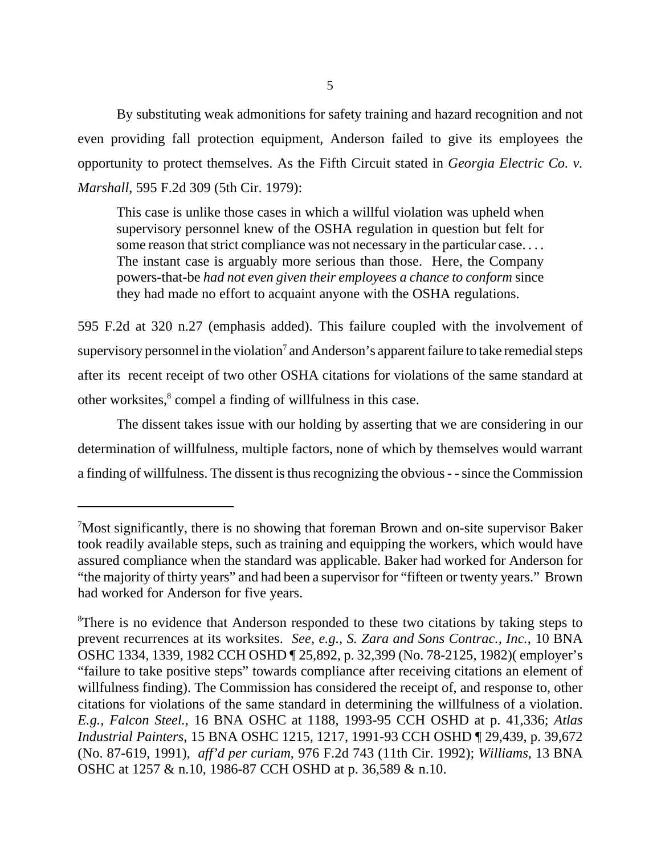By substituting weak admonitions for safety training and hazard recognition and not even providing fall protection equipment, Anderson failed to give its employees the opportunity to protect themselves. As the Fifth Circuit stated in *Georgia Electric Co. v. Marshall*, 595 F.2d 309 (5th Cir. 1979):

This case is unlike those cases in which a willful violation was upheld when supervisory personnel knew of the OSHA regulation in question but felt for some reason that strict compliance was not necessary in the particular case. . . . The instant case is arguably more serious than those. Here, the Company powers-that-be *had not even given their employees a chance to conform* since they had made no effort to acquaint anyone with the OSHA regulations.

595 F.2d at 320 n.27 (emphasis added). This failure coupled with the involvement of supervisory personnel in the violation<sup>7</sup> and Anderson's apparent failure to take remedial steps after its recent receipt of two other OSHA citations for violations of the same standard at other worksites,<sup>8</sup> compel a finding of willfulness in this case.

The dissent takes issue with our holding by asserting that we are considering in our determination of willfulness, multiple factors, none of which by themselves would warrant a finding of willfulness. The dissent is thus recognizing the obvious - - since the Commission

 $7$ Most significantly, there is no showing that foreman Brown and on-site supervisor Baker took readily available steps, such as training and equipping the workers, which would have assured compliance when the standard was applicable. Baker had worked for Anderson for "the majority of thirty years" and had been a supervisor for "fifteen or twenty years." Brown had worked for Anderson for five years.

<sup>&</sup>lt;sup>8</sup>There is no evidence that Anderson responded to these two citations by taking steps to prevent recurrences at its worksites. *See, e.g., S. Zara and Sons Contrac., Inc.*, 10 BNA OSHC 1334, 1339, 1982 CCH OSHD ¶ 25,892, p. 32,399 (No. 78-2125, 1982)( employer's "failure to take positive steps" towards compliance after receiving citations an element of willfulness finding). The Commission has considered the receipt of, and response to, other citations for violations of the same standard in determining the willfulness of a violation. *E.g., Falcon Steel.*, 16 BNA OSHC at 1188, 1993-95 CCH OSHD at p. 41,336; *Atlas Industrial Painters*, 15 BNA OSHC 1215, 1217, 1991-93 CCH OSHD ¶ 29,439, p. 39,672 (No. 87-619, 1991), *aff'd per curiam*, 976 F.2d 743 (11th Cir. 1992); *Williams*, 13 BNA OSHC at 1257 & n.10, 1986-87 CCH OSHD at p. 36,589 & n.10.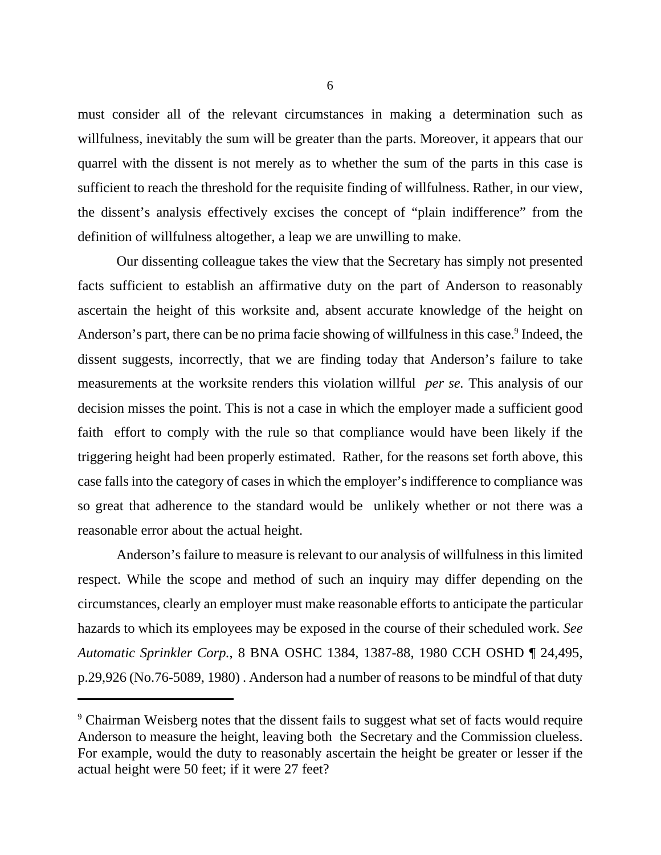must consider all of the relevant circumstances in making a determination such as willfulness, inevitably the sum will be greater than the parts. Moreover, it appears that our quarrel with the dissent is not merely as to whether the sum of the parts in this case is sufficient to reach the threshold for the requisite finding of willfulness. Rather, in our view, the dissent's analysis effectively excises the concept of "plain indifference" from the definition of willfulness altogether, a leap we are unwilling to make.

Our dissenting colleague takes the view that the Secretary has simply not presented facts sufficient to establish an affirmative duty on the part of Anderson to reasonably ascertain the height of this worksite and, absent accurate knowledge of the height on Anderson's part, there can be no prima facie showing of willfulness in this case.<sup>9</sup> Indeed, the dissent suggests, incorrectly, that we are finding today that Anderson's failure to take measurements at the worksite renders this violation willful *per se.* This analysis of our decision misses the point. This is not a case in which the employer made a sufficient good faith effort to comply with the rule so that compliance would have been likely if the triggering height had been properly estimated. Rather, for the reasons set forth above, this case falls into the category of cases in which the employer's indifference to compliance was so great that adherence to the standard would be unlikely whether or not there was a reasonable error about the actual height.

Anderson's failure to measure is relevant to our analysis of willfulness in this limited respect. While the scope and method of such an inquiry may differ depending on the circumstances, clearly an employer must make reasonable efforts to anticipate the particular hazards to which its employees may be exposed in the course of their scheduled work. *See Automatic Sprinkler Corp.*, 8 BNA OSHC 1384, 1387-88, 1980 CCH OSHD ¶ 24,495, p.29,926 (No.76-5089, 1980) . Anderson had a number of reasons to be mindful of that duty

<sup>&</sup>lt;sup>9</sup> Chairman Weisberg notes that the dissent fails to suggest what set of facts would require Anderson to measure the height, leaving both the Secretary and the Commission clueless. For example, would the duty to reasonably ascertain the height be greater or lesser if the actual height were 50 feet; if it were 27 feet?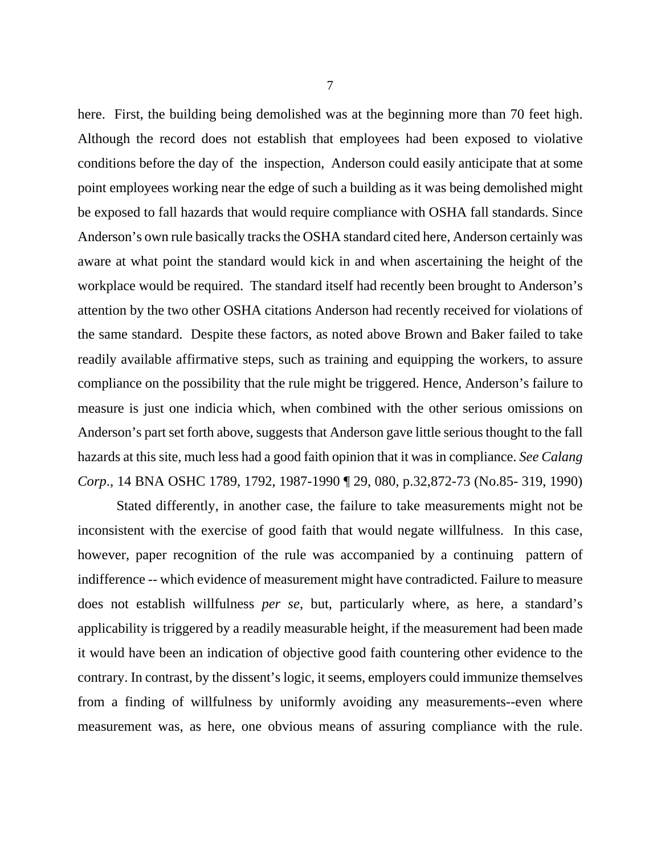here. First, the building being demolished was at the beginning more than 70 feet high. Although the record does not establish that employees had been exposed to violative conditions before the day of the inspection, Anderson could easily anticipate that at some point employees working near the edge of such a building as it was being demolished might be exposed to fall hazards that would require compliance with OSHA fall standards. Since Anderson's own rule basically tracks the OSHA standard cited here, Anderson certainly was aware at what point the standard would kick in and when ascertaining the height of the workplace would be required. The standard itself had recently been brought to Anderson's attention by the two other OSHA citations Anderson had recently received for violations of the same standard. Despite these factors, as noted above Brown and Baker failed to take readily available affirmative steps, such as training and equipping the workers, to assure compliance on the possibility that the rule might be triggered. Hence, Anderson's failure to measure is just one indicia which, when combined with the other serious omissions on Anderson's part set forth above, suggests that Anderson gave little serious thought to the fall hazards at this site, much less had a good faith opinion that it was in compliance. *See Calang Corp*.*,* 14 BNA OSHC 1789, 1792, 1987-1990 ¶ 29, 080, p.32,872-73 (No.85- 319, 1990)

Stated differently, in another case, the failure to take measurements might not be inconsistent with the exercise of good faith that would negate willfulness. In this case, however, paper recognition of the rule was accompanied by a continuing pattern of indifference -- which evidence of measurement might have contradicted. Failure to measure does not establish willfulness *per se,* but, particularly where, as here, a standard's applicability is triggered by a readily measurable height, if the measurement had been made it would have been an indication of objective good faith countering other evidence to the contrary. In contrast, by the dissent's logic, it seems, employers could immunize themselves from a finding of willfulness by uniformly avoiding any measurements--even where measurement was, as here, one obvious means of assuring compliance with the rule.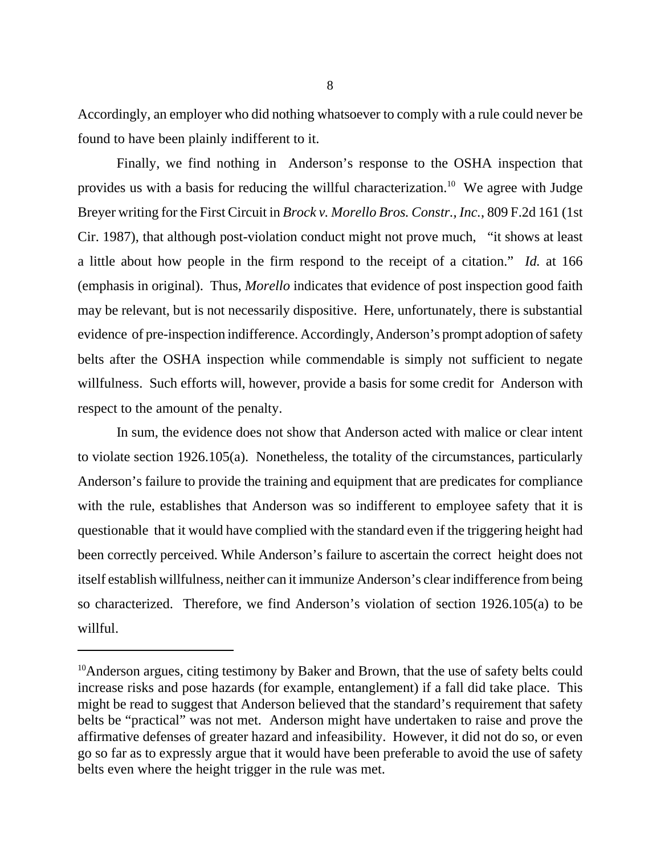Accordingly, an employer who did nothing whatsoever to comply with a rule could never be found to have been plainly indifferent to it.

Finally, we find nothing in Anderson's response to the OSHA inspection that provides us with a basis for reducing the willful characterization.<sup>10</sup> We agree with Judge Breyer writing for the First Circuit in *Brock v. Morello Bros. Constr., Inc.*, 809 F.2d 161 (1st Cir. 1987), that although post-violation conduct might not prove much, "it shows at least a little about how people in the firm respond to the receipt of a citation." *Id.* at 166 (emphasis in original). Thus, *Morello* indicates that evidence of post inspection good faith may be relevant, but is not necessarily dispositive. Here, unfortunately, there is substantial evidence of pre-inspection indifference. Accordingly, Anderson's prompt adoption of safety belts after the OSHA inspection while commendable is simply not sufficient to negate willfulness. Such efforts will, however, provide a basis for some credit for Anderson with respect to the amount of the penalty.

In sum, the evidence does not show that Anderson acted with malice or clear intent to violate section 1926.105(a). Nonetheless, the totality of the circumstances, particularly Anderson's failure to provide the training and equipment that are predicates for compliance with the rule, establishes that Anderson was so indifferent to employee safety that it is questionable that it would have complied with the standard even if the triggering height had been correctly perceived. While Anderson's failure to ascertain the correct height does not itself establish willfulness, neither can it immunize Anderson's clear indifference from being so characterized. Therefore, we find Anderson's violation of section 1926.105(a) to be willful.

 $10$ Anderson argues, citing testimony by Baker and Brown, that the use of safety belts could increase risks and pose hazards (for example, entanglement) if a fall did take place. This might be read to suggest that Anderson believed that the standard's requirement that safety belts be "practical" was not met. Anderson might have undertaken to raise and prove the affirmative defenses of greater hazard and infeasibility. However, it did not do so, or even go so far as to expressly argue that it would have been preferable to avoid the use of safety belts even where the height trigger in the rule was met.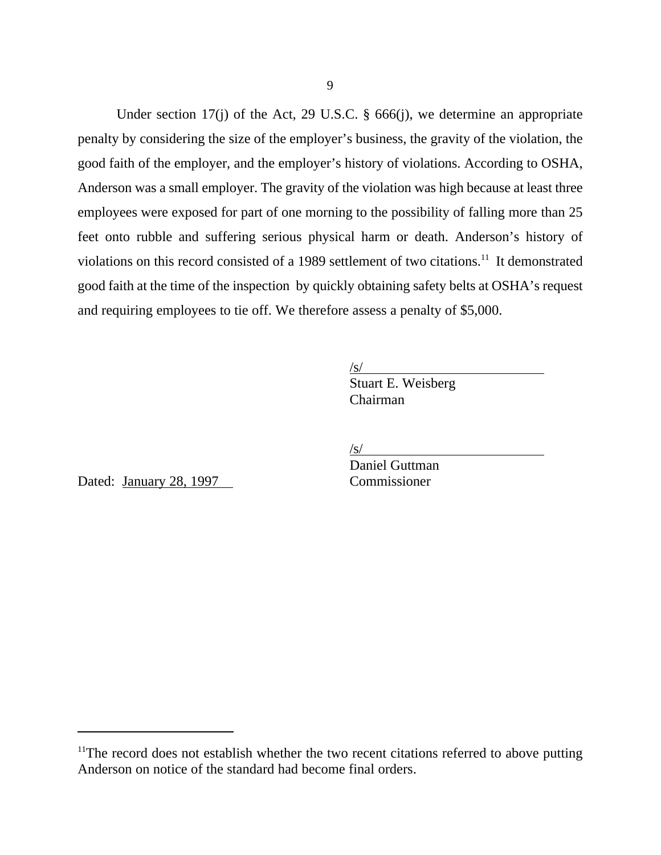Under section 17(j) of the Act, 29 U.S.C. § 666(j), we determine an appropriate penalty by considering the size of the employer's business, the gravity of the violation, the good faith of the employer, and the employer's history of violations. According to OSHA, Anderson was a small employer. The gravity of the violation was high because at least three employees were exposed for part of one morning to the possibility of falling more than 25 feet onto rubble and suffering serious physical harm or death. Anderson's history of violations on this record consisted of a 1989 settlement of two citations.<sup>11</sup> It demonstrated good faith at the time of the inspection by quickly obtaining safety belts at OSHA's request and requiring employees to tie off. We therefore assess a penalty of \$5,000.

/s/

Stuart E. Weisberg Chairman

/s/

Dated: January 28, 1997 Commissioner

Daniel Guttman

<sup>&</sup>lt;sup>11</sup>The record does not establish whether the two recent citations referred to above putting Anderson on notice of the standard had become final orders.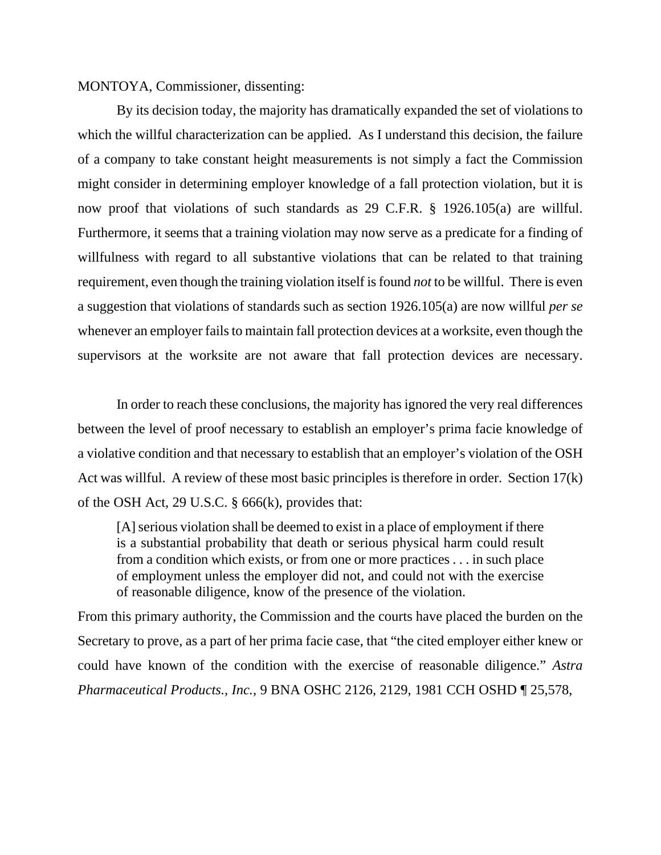MONTOYA, Commissioner, dissenting:

By its decision today, the majority has dramatically expanded the set of violations to which the willful characterization can be applied. As I understand this decision, the failure of a company to take constant height measurements is not simply a fact the Commission might consider in determining employer knowledge of a fall protection violation, but it is now proof that violations of such standards as 29 C.F.R. § 1926.105(a) are willful. Furthermore, it seems that a training violation may now serve as a predicate for a finding of willfulness with regard to all substantive violations that can be related to that training requirement, even though the training violation itself is found *not* to be willful. There is even a suggestion that violations of standards such as section 1926.105(a) are now willful *per se* whenever an employer fails to maintain fall protection devices at a worksite, even though the supervisors at the worksite are not aware that fall protection devices are necessary.

In order to reach these conclusions, the majority has ignored the very real differences between the level of proof necessary to establish an employer's prima facie knowledge of a violative condition and that necessary to establish that an employer's violation of the OSH Act was willful. A review of these most basic principles is therefore in order. Section 17(k) of the OSH Act, 29 U.S.C.  $\S$  666(k), provides that:

[A] serious violation shall be deemed to exist in a place of employment if there is a substantial probability that death or serious physical harm could result from a condition which exists, or from one or more practices . . . in such place of employment unless the employer did not, and could not with the exercise of reasonable diligence, know of the presence of the violation.

From this primary authority, the Commission and the courts have placed the burden on the Secretary to prove, as a part of her prima facie case, that "the cited employer either knew or could have known of the condition with the exercise of reasonable diligence." *Astra Pharmaceutical Products., Inc.*, 9 BNA OSHC 2126, 2129, 1981 CCH OSHD ¶ 25,578,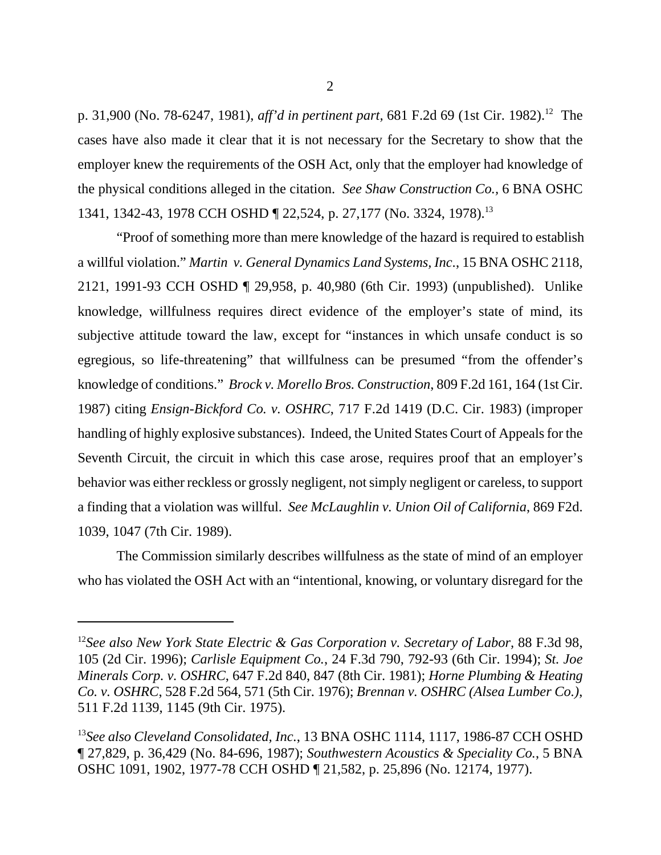p. 31,900 (No. 78-6247, 1981), *aff'd in pertinent part,* 681 F.2d 69 (1st Cir. 1982).<sup>12</sup> The cases have also made it clear that it is not necessary for the Secretary to show that the employer knew the requirements of the OSH Act, only that the employer had knowledge of the physical conditions alleged in the citation. *See Shaw Construction Co.,* 6 BNA OSHC 1341, 1342-43, 1978 CCH OSHD ¶ 22,524, p. 27,177 (No. 3324, 1978).<sup>13</sup>

 "Proof of something more than mere knowledge of the hazard is required to establish a willful violation." *Martin v. General Dynamics Land Systems, Inc*., 15 BNA OSHC 2118, 2121, 1991-93 CCH OSHD ¶ 29,958, p. 40,980 (6th Cir. 1993) (unpublished). Unlike knowledge, willfulness requires direct evidence of the employer's state of mind, its subjective attitude toward the law, except for "instances in which unsafe conduct is so egregious, so life-threatening" that willfulness can be presumed "from the offender's knowledge of conditions." *Brock v. Morello Bros. Construction*, 809 F.2d 161, 164 (1st Cir. 1987) citing *Ensign-Bickford Co. v. OSHRC*, 717 F.2d 1419 (D.C. Cir. 1983) (improper handling of highly explosive substances). Indeed, the United States Court of Appeals for the Seventh Circuit, the circuit in which this case arose, requires proof that an employer's behavior was either reckless or grossly negligent, not simply negligent or careless, to support a finding that a violation was willful. *See McLaughlin v. Union Oil of California*, 869 F2d. 1039, 1047 (7th Cir. 1989).

The Commission similarly describes willfulness as the state of mind of an employer who has violated the OSH Act with an "intentional, knowing, or voluntary disregard for the

<sup>12</sup>*See also New York State Electric & Gas Corporation v. Secretary of Labor,* 88 F.3d 98, 105 (2d Cir. 1996); *Carlisle Equipment Co.*, 24 F.3d 790, 792-93 (6th Cir. 1994); *St. Joe Minerals Corp. v. OSHRC*, 647 F.2d 840, 847 (8th Cir. 1981); *Horne Plumbing & Heating Co. v. OSHRC*, 528 F.2d 564, 571 (5th Cir. 1976); *Brennan v. OSHRC (Alsea Lumber Co.)*, 511 F.2d 1139, 1145 (9th Cir. 1975).

<sup>13</sup>*See also Cleveland Consolidated, Inc.*, 13 BNA OSHC 1114, 1117, 1986-87 CCH OSHD ¶ 27,829, p. 36,429 (No. 84-696, 1987); *Southwestern Acoustics & Speciality Co.*, 5 BNA OSHC 1091, 1902, 1977-78 CCH OSHD ¶ 21,582, p. 25,896 (No. 12174, 1977).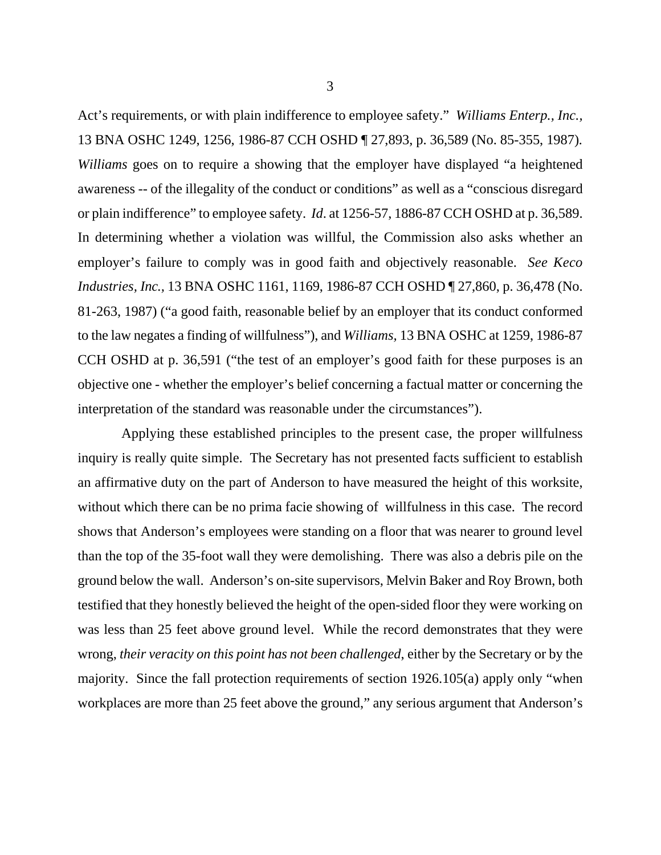Act's requirements, or with plain indifference to employee safety." *Williams Enterp., Inc.,* 13 BNA OSHC 1249, 1256, 1986-87 CCH OSHD ¶ 27,893, p. 36,589 (No. 85-355, 1987)*. Williams* goes on to require a showing that the employer have displayed "a heightened awareness -- of the illegality of the conduct or conditions" as well as a "conscious disregard or plain indifference" to employee safety. *Id*. at 1256-57, 1886-87 CCH OSHD at p. 36,589. In determining whether a violation was willful, the Commission also asks whether an employer's failure to comply was in good faith and objectively reasonable. *See Keco Industries, Inc.,* 13 BNA OSHC 1161, 1169, 1986-87 CCH OSHD ¶ 27,860, p. 36,478 (No. 81-263, 1987) ("a good faith, reasonable belief by an employer that its conduct conformed to the law negates a finding of willfulness"), and *Williams,* 13 BNA OSHC at 1259, 1986-87 CCH OSHD at p. 36,591 ("the test of an employer's good faith for these purposes is an objective one - whether the employer's belief concerning a factual matter or concerning the interpretation of the standard was reasonable under the circumstances").

 Applying these established principles to the present case, the proper willfulness inquiry is really quite simple. The Secretary has not presented facts sufficient to establish an affirmative duty on the part of Anderson to have measured the height of this worksite, without which there can be no prima facie showing of willfulness in this case. The record shows that Anderson's employees were standing on a floor that was nearer to ground level than the top of the 35-foot wall they were demolishing. There was also a debris pile on the ground below the wall. Anderson's on-site supervisors, Melvin Baker and Roy Brown, both testified that they honestly believed the height of the open-sided floor they were working on was less than 25 feet above ground level. While the record demonstrates that they were wrong, *their veracity on this point has not been challenged*, either by the Secretary or by the majority. Since the fall protection requirements of section 1926.105(a) apply only "when workplaces are more than 25 feet above the ground," any serious argument that Anderson's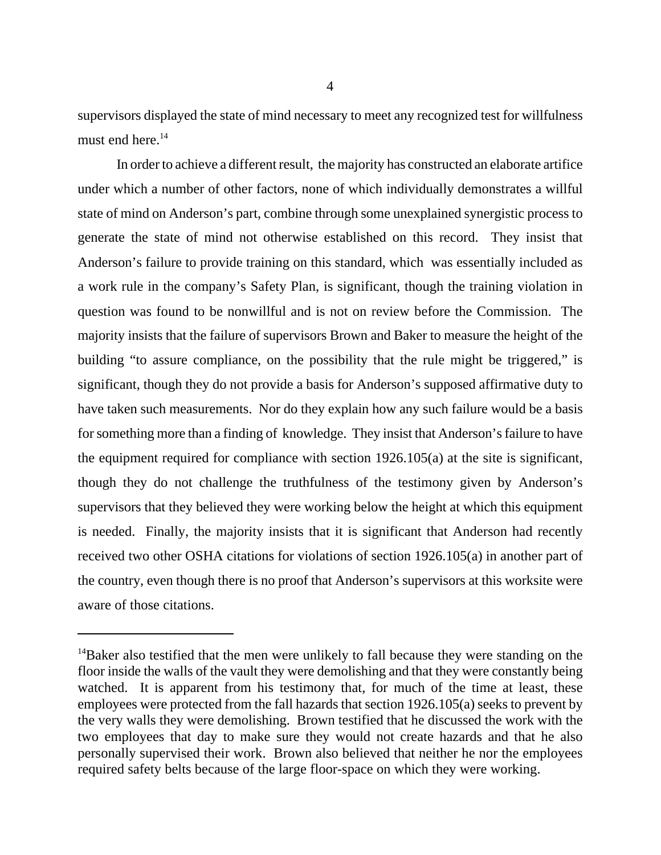supervisors displayed the state of mind necessary to meet any recognized test for willfulness must end here. $14$ 

In order to achieve a different result, the majority has constructed an elaborate artifice under which a number of other factors, none of which individually demonstrates a willful state of mind on Anderson's part, combine through some unexplained synergistic process to generate the state of mind not otherwise established on this record. They insist that Anderson's failure to provide training on this standard, which was essentially included as a work rule in the company's Safety Plan, is significant, though the training violation in question was found to be nonwillful and is not on review before the Commission. The majority insists that the failure of supervisors Brown and Baker to measure the height of the building "to assure compliance, on the possibility that the rule might be triggered," is significant, though they do not provide a basis for Anderson's supposed affirmative duty to have taken such measurements. Nor do they explain how any such failure would be a basis for something more than a finding of knowledge. They insist that Anderson's failure to have the equipment required for compliance with section 1926.105(a) at the site is significant, though they do not challenge the truthfulness of the testimony given by Anderson's supervisors that they believed they were working below the height at which this equipment is needed. Finally, the majority insists that it is significant that Anderson had recently received two other OSHA citations for violations of section 1926.105(a) in another part of the country, even though there is no proof that Anderson's supervisors at this worksite were aware of those citations.

<sup>&</sup>lt;sup>14</sup>Baker also testified that the men were unlikely to fall because they were standing on the floor inside the walls of the vault they were demolishing and that they were constantly being watched. It is apparent from his testimony that, for much of the time at least, these employees were protected from the fall hazards that section 1926.105(a) seeks to prevent by the very walls they were demolishing. Brown testified that he discussed the work with the two employees that day to make sure they would not create hazards and that he also personally supervised their work. Brown also believed that neither he nor the employees required safety belts because of the large floor-space on which they were working.